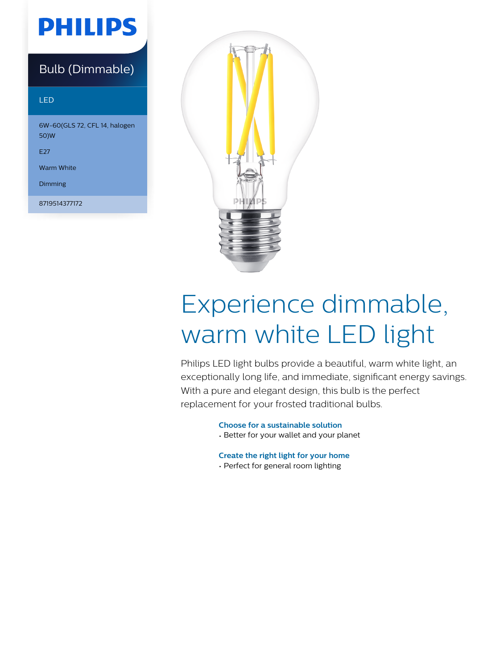## **PHILIPS**

### Bulb (Dimmable)

#### LED

6W-60(GLS 72, CFL 14, halogen 50)W

E27

Warm White

Dimming

8719514377172



# Experience dimmable, warm white LED light

Philips LED light bulbs provide a beautiful, warm white light, an exceptionally long life, and immediate, significant energy savings. With a pure and elegant design, this bulb is the perfect replacement for your frosted traditional bulbs.

**Choose for a sustainable solution**

• Better for your wallet and your planet

**Create the right light for your home**

• Perfect for general room lighting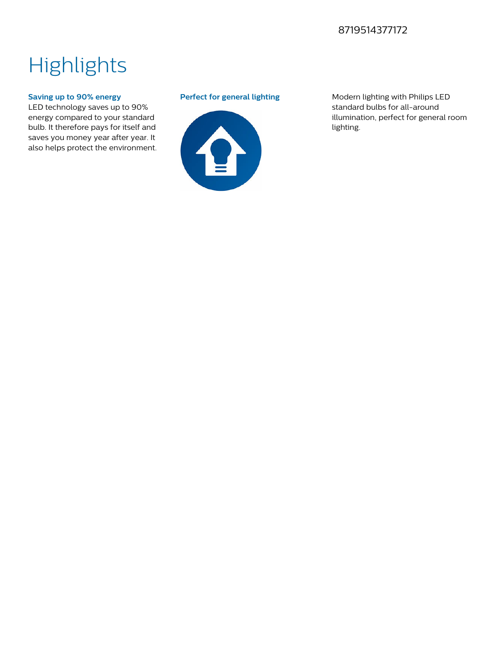#### 8719514377172

### **Highlights**

#### **Saving up to 90% energy**

LED technology saves up to 90% energy compared to your standard bulb. It therefore pays for itself and saves you money year after year. It also helps protect the environment.



**Perfect for general lighting** Modern lighting with Philips LED standard bulbs for all-around illumination, perfect for general room lighting.